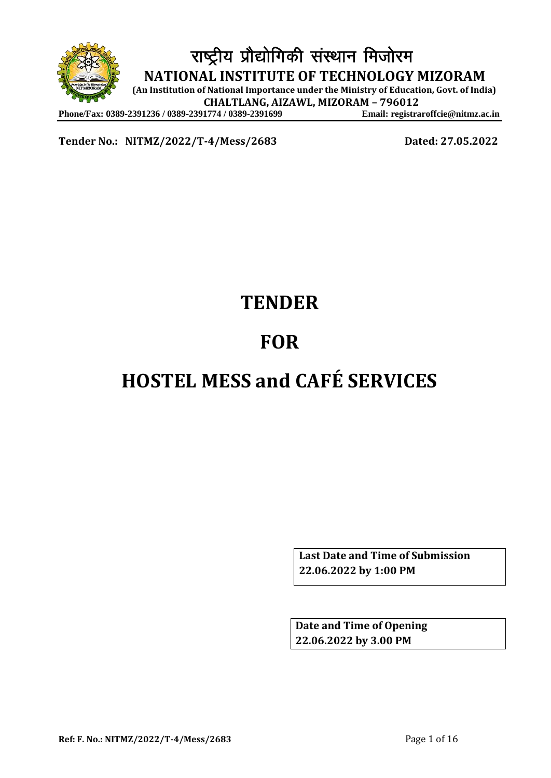

**Tender No.: NITMZ/2022/T-4/Mess/2683 Dated: 27.05.2022**

# **TENDER**

# **FOR**

# **HOSTEL MESS and CAFÉ SERVICES**

**Last Date and Time of Submission 22.06.2022 by 1:00 PM**

**Date and Time of Opening 22.06.2022 by 3.00 PM**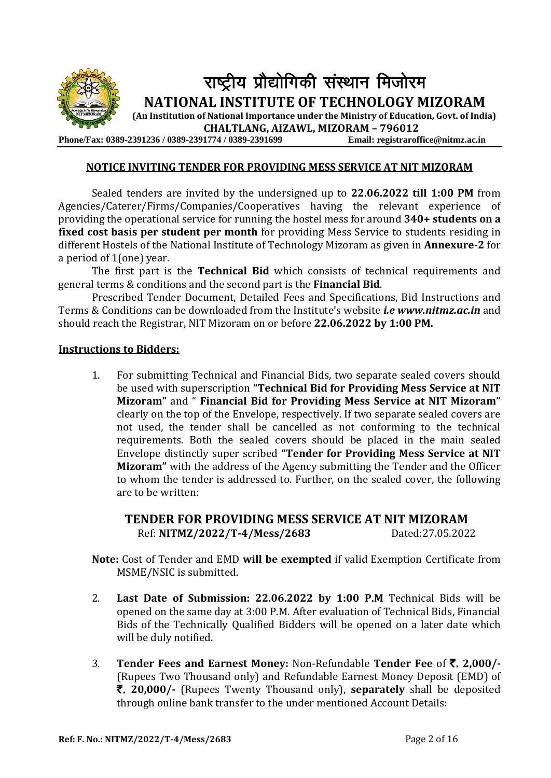

#### **NOTICE INVITING TENDER FOR PROVIDING MESS SERVICE AT NIT MIZORAM**

Sealed tenders are invited by the undersigned up to **22.06.2022 till 1:00 PM** from Agencies/Caterer/Firms/Companies/Cooperatives having the relevant experience of providing the operational service for running the hostel mess for around **340+ students on a fixed cost basis per student per month** for providing Mess Service to students residing in different Hostels of the National Institute of Technology Mizoram as given in **Annexure-2** for a period of 1(one) year.

The first part is the **Technical Bid** which consists of technical requirements and general terms & conditions and the second part is the **Financial Bid**.

Prescribed Tender Document, Detailed Fees and Specifications, Bid Instructions and Terms & Conditions can be downloaded from the Institute's website *i.[e www.nitmz.ac.in](http://www.nitmz.ac.in/)* and should reach the Registrar, NIT Mizoram on or before **22.06.2022 by 1:00 PM.**

#### **Instructions to Bidders:**

1. For submitting Technical and Financial Bids, two separate sealed covers should be used with superscription **"Technical Bid for Providing Mess Service at NIT Mizoram"** and " **Financial Bid for Providing Mess Service at NIT Mizoram"** clearly on the top of the Envelope, respectively. If two separate sealed covers are not used, the tender shall be cancelled as not conforming to the technical requirements. Both the sealed covers should be placed in the main sealed Envelope distinctly super scribed **"Tender for Providing Mess Service at NIT Mizoram"** with the address of the Agency submitting the Tender and the Officer to whom the tender is addressed to. Further, on the sealed cover, the following are to be written:

## **TENDER FOR PROVIDING MESS SERVICE AT NIT MIZORAM** Ref: **NITMZ/2022/T-4/Mess/2683** Dated:27.05.2022

- **Note:** Cost of Tender and EMD **will be exempted** if valid Exemption Certificate from MSME/NSIC is submitted.
- 2. **Last Date of Submission: 22.06.2022 by 1:00 P.M** Technical Bids will be opened on the same day at 3:00 P.M. After evaluation of Technical Bids, Financial Bids of the Technically Qualified Bidders will be opened on a later date which will be duly notified.
- 3. **Tender Fees and Earnest Money:** Non-Refundable **Tender Fee** of `. **2,000/-** (Rupees Two Thousand only) and Refundable Earnest Money Deposit (EMD) of `. **20,000/-** (Rupees Twenty Thousand only), **separately** shall be deposited through online bank transfer to the under mentioned Account Details: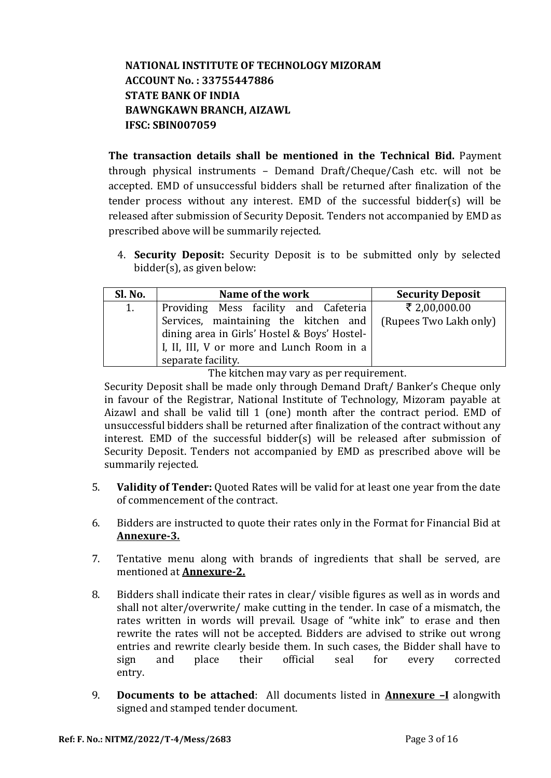# **NATIONAL INSTITUTE OF TECHNOLOGY MIZORAM ACCOUNT No. : 33755447886 STATE BANK OF INDIA BAWNGKAWN BRANCH, AIZAWL IFSC: SBIN007059**

**The transaction details shall be mentioned in the Technical Bid.** Payment through physical instruments – Demand Draft/Cheque/Cash etc. will not be accepted. EMD of unsuccessful bidders shall be returned after finalization of the tender process without any interest. EMD of the successful bidder(s) will be released after submission of Security Deposit. Tenders not accompanied by EMD as prescribed above will be summarily rejected.

4. **Security Deposit:** Security Deposit is to be submitted only by selected bidder(s), as given below:

| Sl. No. | Name of the work                             | <b>Security Deposit</b> |
|---------|----------------------------------------------|-------------------------|
| 1.      | Providing Mess facility and Cafeteria        | ₹ 2,00,000.00           |
|         | Services, maintaining the kitchen and        | (Rupees Two Lakh only)  |
|         | dining area in Girls' Hostel & Boys' Hostel- |                         |
|         | I, II, III, V or more and Lunch Room in a    |                         |
|         | separate facility.                           |                         |

The kitchen may vary as per requirement.

Security Deposit shall be made only through Demand Draft/ Banker's Cheque only in favour of the Registrar, National Institute of Technology, Mizoram payable at Aizawl and shall be valid till 1 (one) month after the contract period. EMD of unsuccessful bidders shall be returned after finalization of the contract without any interest. EMD of the successful bidder(s) will be released after submission of Security Deposit. Tenders not accompanied by EMD as prescribed above will be summarily rejected.

- 5. **Validity of Tender:** Quoted Rates will be valid for at least one year from the date of commencement of the contract.
- 6. Bidders are instructed to quote their rates only in the Format for Financial Bid at **Annexure-3.**
- 7. Tentative menu along with brands of ingredients that shall be served, are mentioned at **Annexure-2.**
- 8. Bidders shall indicate their rates in clear/ visible figures as well as in words and shall not alter/overwrite/ make cutting in the tender. In case of a mismatch, the rates written in words will prevail. Usage of "white ink" to erase and then rewrite the rates will not be accepted. Bidders are advised to strike out wrong entries and rewrite clearly beside them. In such cases, the Bidder shall have to sign and place their official seal for every corrected entry.
- 9. **Documents to be attached**: All documents listed in **Annexure –I** alongwith signed and stamped tender document.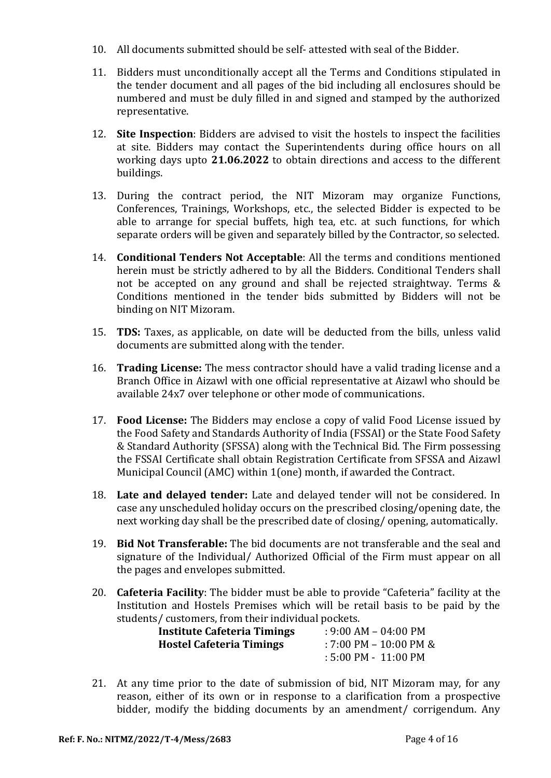- 10. All documents submitted should be self- attested with seal of the Bidder.
- 11. Bidders must unconditionally accept all the Terms and Conditions stipulated in the tender document and all pages of the bid including all enclosures should be numbered and must be duly filled in and signed and stamped by the authorized representative.
- 12. **Site Inspection**: Bidders are advised to visit the hostels to inspect the facilities at site. Bidders may contact the Superintendents during office hours on all working days upto **21.06.2022** to obtain directions and access to the different buildings.
- 13. During the contract period, the NIT Mizoram may organize Functions, Conferences, Trainings, Workshops, etc., the selected Bidder is expected to be able to arrange for special buffets, high tea, etc. at such functions, for which separate orders will be given and separately billed by the Contractor, so selected.
- 14. **Conditional Tenders Not Acceptable**: All the terms and conditions mentioned herein must be strictly adhered to by all the Bidders. Conditional Tenders shall not be accepted on any ground and shall be rejected straightway. Terms & Conditions mentioned in the tender bids submitted by Bidders will not be binding on NIT Mizoram.
- 15. **TDS:** Taxes, as applicable, on date will be deducted from the bills, unless valid documents are submitted along with the tender.
- 16. **Trading License:** The mess contractor should have a valid trading license and a Branch Office in Aizawl with one official representative at Aizawl who should be available 24x7 over telephone or other mode of communications.
- 17. **Food License:** The Bidders may enclose a copy of valid Food License issued by the Food Safety and Standards Authority of India (FSSAI) or the State Food Safety & Standard Authority (SFSSA) along with the Technical Bid. The Firm possessing the FSSAI Certificate shall obtain Registration Certificate from SFSSA and Aizawl Municipal Council (AMC) within 1(one) month, if awarded the Contract.
- 18. **Late and delayed tender:** Late and delayed tender will not be considered. In case any unscheduled holiday occurs on the prescribed closing/opening date, the next working day shall be the prescribed date of closing/ opening, automatically.
- 19. **Bid Not Transferable:** The bid documents are not transferable and the seal and signature of the Individual/ Authorized Official of the Firm must appear on all the pages and envelopes submitted.
- 20. **Cafeteria Facility**: The bidder must be able to provide "Cafeteria" facility at the Institution and Hostels Premises which will be retail basis to be paid by the students/ customers, from their individual pockets.

| <b>Institute Cafeteria Timings</b> | $: 9:00$ AM – 04:00 PM   |
|------------------------------------|--------------------------|
| <b>Hostel Cafeteria Timings</b>    | $: 7:00$ PM - 10:00 PM & |
|                                    | $:5:00$ PM - $11:00$ PM  |

21. At any time prior to the date of submission of bid, NIT Mizoram may, for any reason, either of its own or in response to a clarification from a prospective bidder, modify the bidding documents by an amendment/ corrigendum. Any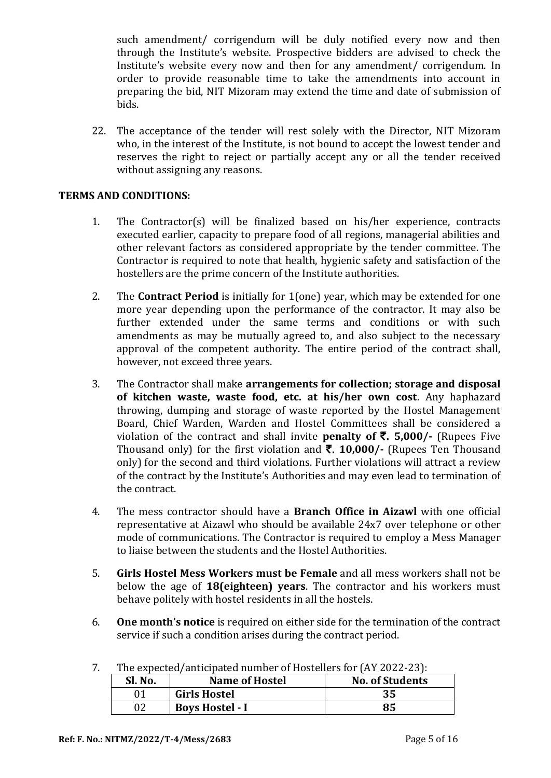such amendment/ corrigendum will be duly notified every now and then through the Institute's website. Prospective bidders are advised to check the Institute's website every now and then for any amendment/ corrigendum. In order to provide reasonable time to take the amendments into account in preparing the bid, NIT Mizoram may extend the time and date of submission of bids.

22. The acceptance of the tender will rest solely with the Director, NIT Mizoram who, in the interest of the Institute, is not bound to accept the lowest tender and reserves the right to reject or partially accept any or all the tender received without assigning any reasons.

#### **TERMS AND CONDITIONS:**

- 1. The Contractor(s) will be finalized based on his/her experience, contracts executed earlier, capacity to prepare food of all regions, managerial abilities and other relevant factors as considered appropriate by the tender committee. The Contractor is required to note that health, hygienic safety and satisfaction of the hostellers are the prime concern of the Institute authorities.
- 2. The **Contract Period** is initially for 1(one) year, which may be extended for one more year depending upon the performance of the contractor. It may also be further extended under the same terms and conditions or with such amendments as may be mutually agreed to, and also subject to the necessary approval of the competent authority. The entire period of the contract shall, however, not exceed three years.
- 3. The Contractor shall make **arrangements for collection; storage and disposal of kitchen waste, waste food, etc. at his/her own cost**. Any haphazard throwing, dumping and storage of waste reported by the Hostel Management Board, Chief Warden, Warden and Hostel Committees shall be considered a violation of the contract and shall invite **penalty of** `. **5,000/-** (Rupees Five Thousand only) for the first violation and `. **10,000/-** (Rupees Ten Thousand only) for the second and third violations. Further violations will attract a review of the contract by the Institute's Authorities and may even lead to termination of the contract.
- 4. The mess contractor should have a **Branch Office in Aizawl** with one official representative at Aizawl who should be available 24x7 over telephone or other mode of communications. The Contractor is required to employ a Mess Manager to liaise between the students and the Hostel Authorities.
- 5. **Girls Hostel Mess Workers must be Female** and all mess workers shall not be below the age of **18(eighteen) years**. The contractor and his workers must behave politely with hostel residents in all the hostels.
- 6. **One month's notice** is required on either side for the termination of the contract service if such a condition arises during the contract period.

| Sl. No. | <b>Name of Hostel</b>  | <b>No. of Students</b> |
|---------|------------------------|------------------------|
|         | <b>Girls Hostel</b>    | 35                     |
|         | <b>Boys Hostel - I</b> | 85                     |

7. The expected/anticipated number of Hostellers for (AY 2022-23):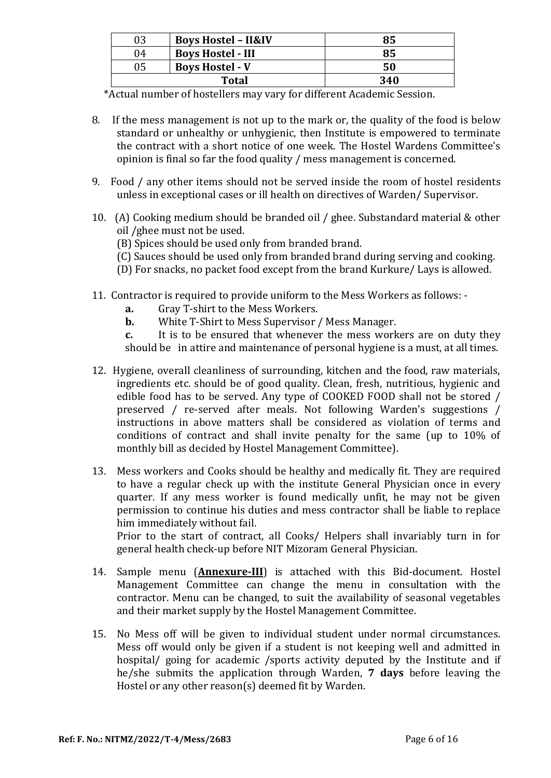| 03                           | <b>Boys Hostel - II&amp;IV</b> | 85  |
|------------------------------|--------------------------------|-----|
| 04                           | <b>Boys Hostel - III</b>       | 85  |
| <b>Boys Hostel - V</b><br>05 |                                | 50  |
|                              | <b>Total</b>                   | 340 |

\*Actual number of hostellers may vary for different Academic Session.

- 8. If the mess management is not up to the mark or, the quality of the food is below standard or unhealthy or unhygienic, then Institute is empowered to terminate the contract with a short notice of one week. The Hostel Wardens Committee's opinion is final so far the food quality / mess management is concerned.
- 9. Food / any other items should not be served inside the room of hostel residents unless in exceptional cases or ill health on directives of Warden/ Supervisor.
- 10. (A) Cooking medium should be branded oil / ghee. Substandard material & other oil /ghee must not be used.
	- (B) Spices should be used only from branded brand.
	- (C) Sauces should be used only from branded brand during serving and cooking.
	- (D) For snacks, no packet food except from the brand Kurkure/ Lays is allowed.
- 11. Contractor is required to provide uniform to the Mess Workers as follows:
	- **a.** Gray T-shirt to the Mess Workers.
	- **b.** White T-Shirt to Mess Supervisor / Mess Manager.
	- **c.** It is to be ensured that whenever the mess workers are on duty they should be in attire and maintenance of personal hygiene is a must, at all times.
- 12. Hygiene, overall cleanliness of surrounding, kitchen and the food, raw materials, ingredients etc. should be of good quality. Clean, fresh, nutritious, hygienic and edible food has to be served. Any type of COOKED FOOD shall not be stored / preserved / re-served after meals. Not following Warden's suggestions / instructions in above matters shall be considered as violation of terms and conditions of contract and shall invite penalty for the same (up to 10% of monthly bill as decided by Hostel Management Committee).
- 13. Mess workers and Cooks should be healthy and medically fit. They are required to have a regular check up with the institute General Physician once in every quarter. If any mess worker is found medically unfit, he may not be given permission to continue his duties and mess contractor shall be liable to replace him immediately without fail.

Prior to the start of contract, all Cooks/ Helpers shall invariably turn in for general health check-up before NIT Mizoram General Physician.

- 14. Sample menu (**Annexure-III**) is attached with this Bid-document. Hostel Management Committee can change the menu in consultation with the contractor. Menu can be changed, to suit the availability of seasonal vegetables and their market supply by the Hostel Management Committee.
- 15. No Mess off will be given to individual student under normal circumstances. Mess off would only be given if a student is not keeping well and admitted in hospital/ going for academic /sports activity deputed by the Institute and if he/she submits the application through Warden, **7 days** before leaving the Hostel or any other reason(s) deemed fit by Warden.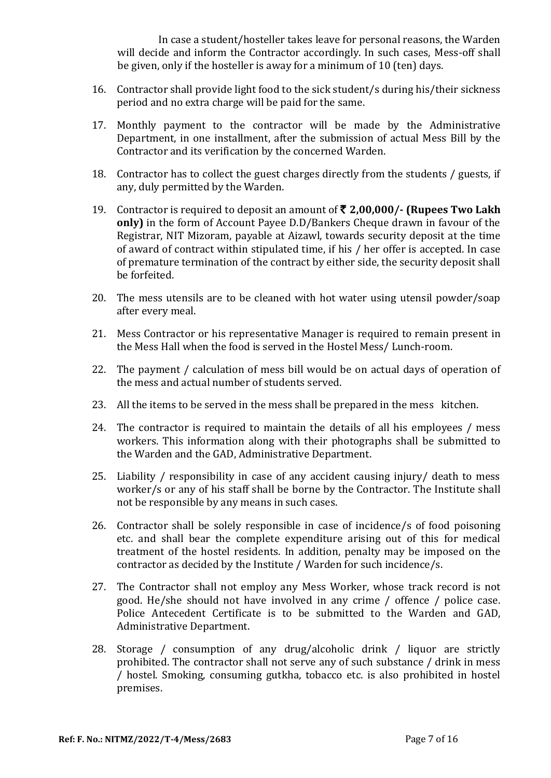In case a student/hosteller takes leave for personal reasons, the Warden will decide and inform the Contractor accordingly. In such cases, Mess-off shall be given, only if the hosteller is away for a minimum of 10 (ten) days.

- 16. Contractor shall provide light food to the sick student/s during his/their sickness period and no extra charge will be paid for the same.
- 17. Monthly payment to the contractor will be made by the Administrative Department, in one installment, after the submission of actual Mess Bill by the Contractor and its verification by the concerned Warden.
- 18. Contractor has to collect the guest charges directly from the students / guests, if any, duly permitted by the Warden.
- 19. Contractor is required to deposit an amount of ` **2,00,000/- (Rupees Two Lakh only)** in the form of Account Payee D.D/Bankers Cheque drawn in favour of the Registrar, NIT Mizoram, payable at Aizawl, towards security deposit at the time of award of contract within stipulated time, if his / her offer is accepted. In case of premature termination of the contract by either side, the security deposit shall be forfeited.
- 20. The mess utensils are to be cleaned with hot water using utensil powder/soap after every meal.
- 21. Mess Contractor or his representative Manager is required to remain present in the Mess Hall when the food is served in the Hostel Mess/ Lunch-room.
- 22. The payment / calculation of mess bill would be on actual days of operation of the mess and actual number of students served.
- 23. All the items to be served in the mess shall be prepared in the mess kitchen.
- 24. The contractor is required to maintain the details of all his employees / mess workers. This information along with their photographs shall be submitted to the Warden and the GAD, Administrative Department.
- 25. Liability / responsibility in case of any accident causing injury/ death to mess worker/s or any of his staff shall be borne by the Contractor. The Institute shall not be responsible by any means in such cases.
- 26. Contractor shall be solely responsible in case of incidence/s of food poisoning etc. and shall bear the complete expenditure arising out of this for medical treatment of the hostel residents. In addition, penalty may be imposed on the contractor as decided by the Institute / Warden for such incidence/s.
- 27. The Contractor shall not employ any Mess Worker, whose track record is not good. He/she should not have involved in any crime / offence / police case. Police Antecedent Certificate is to be submitted to the Warden and GAD, Administrative Department.
- 28. Storage / consumption of any drug/alcoholic drink / liquor are strictly prohibited. The contractor shall not serve any of such substance / drink in mess / hostel. Smoking, consuming gutkha, tobacco etc. is also prohibited in hostel premises.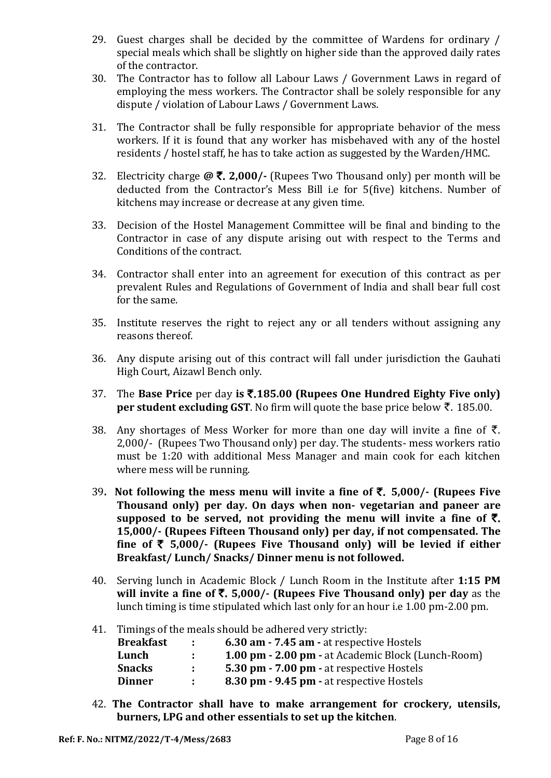- 29. Guest charges shall be decided by the committee of Wardens for ordinary / special meals which shall be slightly on higher side than the approved daily rates of the contractor.
- 30. The Contractor has to follow all Labour Laws / Government Laws in regard of employing the mess workers. The Contractor shall be solely responsible for any dispute / violation of Labour Laws / Government Laws.
- 31. The Contractor shall be fully responsible for appropriate behavior of the mess workers. If it is found that any worker has misbehaved with any of the hostel residents / hostel staff, he has to take action as suggested by the Warden/HMC.
- 32. Electricity charge **@** `. **2,000/-** (Rupees Two Thousand only) per month will be deducted from the Contractor's Mess Bill i.e for 5(five) kitchens. Number of kitchens may increase or decrease at any given time.
- 33. Decision of the Hostel Management Committee will be final and binding to the Contractor in case of any dispute arising out with respect to the Terms and Conditions of the contract.
- 34. Contractor shall enter into an agreement for execution of this contract as per prevalent Rules and Regulations of Government of India and shall bear full cost for the same.
- 35. Institute reserves the right to reject any or all tenders without assigning any reasons thereof.
- 36. Any dispute arising out of this contract will fall under jurisdiction the Gauhati High Court, Aizawl Bench only.
- 37. The **Base Price** per day **is** `.**185.00 (Rupees One Hundred Eighty Five only) per student excluding GST**. No firm will quote the base price below  $\bar{\tau}$ . 185.00.
- 38. Any shortages of Mess Worker for more than one day will invite a fine of  $\bar{\tau}$ . 2,000/- (Rupees Two Thousand only) per day. The students- mess workers ratio must be 1:20 with additional Mess Manager and main cook for each kitchen where mess will be running.
- 39**. Not following the mess menu will invite a fine of** `. **5,000/- (Rupees Five Thousand only) per day. On days when non- vegetarian and paneer are**  supposed to be served, not providing the menu will invite a fine of  $\bar{\tau}$ . **15,000/- (Rupees Fifteen Thousand only) per day, if not compensated. The**  fine of  $\bar{\tau}$  5,000/- (Rupees Five Thousand only) will be levied if either **Breakfast/ Lunch/ Snacks/ Dinner menu is not followed.**
- 40. Serving lunch in Academic Block / Lunch Room in the Institute after **1:15 PM will invite a fine of**  $\bar{\mathbf{z}}$ **. <b>5,000/-** (Rupees Five Thousand only) per day as the lunch timing is time stipulated which last only for an hour i.e 1.00 pm-2.00 pm.
- 41. Timings of the meals should be adhered very strictly:

| <b>Breakfast</b> | $\mathbb{R}^n$ | 6.30 am - 7.45 am - at respective Hostels          |
|------------------|----------------|----------------------------------------------------|
| Lunch            |                | 1.00 pm - 2.00 pm - at Academic Block (Lunch-Room) |
| <b>Snacks</b>    |                | 5.30 pm - 7.00 pm - at respective Hostels          |
| <b>Dinner</b>    |                | 8.30 pm - 9.45 pm - at respective Hostels          |

42. **The Contractor shall have to make arrangement for crockery, utensils, burners, LPG and other essentials to set up the kitchen**.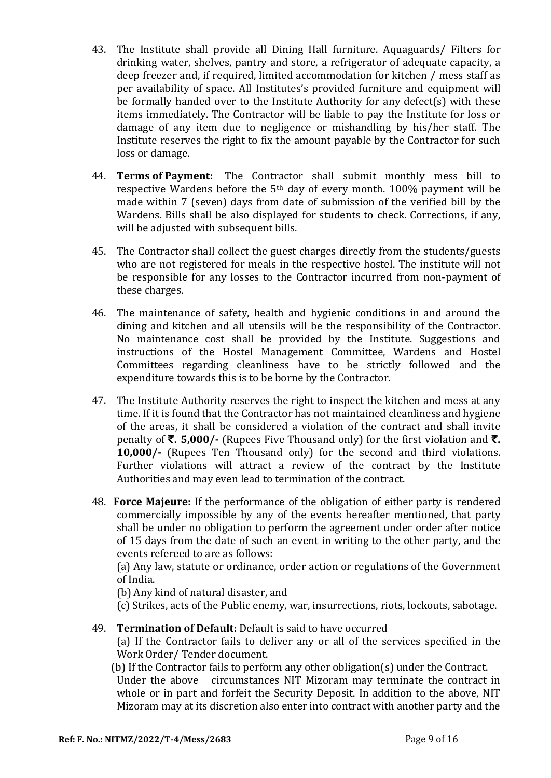- 43. The Institute shall provide all Dining Hall furniture. Aquaguards/ Filters for drinking water, shelves, pantry and store, a refrigerator of adequate capacity, a deep freezer and, if required, limited accommodation for kitchen / mess staff as per availability of space. All Institutes's provided furniture and equipment will be formally handed over to the Institute Authority for any defect(s) with these items immediately. The Contractor will be liable to pay the Institute for loss or damage of any item due to negligence or mishandling by his/her staff. The Institute reserves the right to fix the amount payable by the Contractor for such loss or damage.
- 44. **Terms of Payment:** The Contractor shall submit monthly mess bill to respective Wardens before the 5th day of every month. 100% payment will be made within 7 (seven) days from date of submission of the verified bill by the Wardens. Bills shall be also displayed for students to check. Corrections, if any, will be adjusted with subsequent bills.
- 45. The Contractor shall collect the guest charges directly from the students/guests who are not registered for meals in the respective hostel. The institute will not be responsible for any losses to the Contractor incurred from non-payment of these charges.
- 46. The maintenance of safety, health and hygienic conditions in and around the dining and kitchen and all utensils will be the responsibility of the Contractor. No maintenance cost shall be provided by the Institute. Suggestions and instructions of the Hostel Management Committee, Wardens and Hostel Committees regarding cleanliness have to be strictly followed and the expenditure towards this is to be borne by the Contractor.
- 47. The Institute Authority reserves the right to inspect the kitchen and mess at any time. If it is found that the Contractor has not maintained cleanliness and hygiene of the areas, it shall be considered a violation of the contract and shall invite penalty of  $\bar{\tau}$ . **5,000/-** (Rupees Five Thousand only) for the first violation and  $\bar{\tau}$ . **10,000/-** (Rupees Ten Thousand only) for the second and third violations. Further violations will attract a review of the contract by the Institute Authorities and may even lead to termination of the contract.
- 48. **Force Majeure:** If the performance of the obligation of either party is rendered commercially impossible by any of the events hereafter mentioned, that party shall be under no obligation to perform the agreement under order after notice of 15 days from the date of such an event in writing to the other party, and the events refereed to are as follows:

(a) Any law, statute or ordinance, order action or regulations of the Government of India.

(b) Any kind of natural disaster, and

(c) Strikes, acts of the Public enemy, war, insurrections, riots, lockouts, sabotage.

49. **Termination of Default:** Default is said to have occurred

(a) If the Contractor fails to deliver any or all of the services specified in the Work Order/ Tender document.

(b) If the Contractor fails to perform any other obligation(s) under the Contract.

Under the above circumstances NIT Mizoram may terminate the contract in whole or in part and forfeit the Security Deposit. In addition to the above, NIT Mizoram may at its discretion also enter into contract with another party and the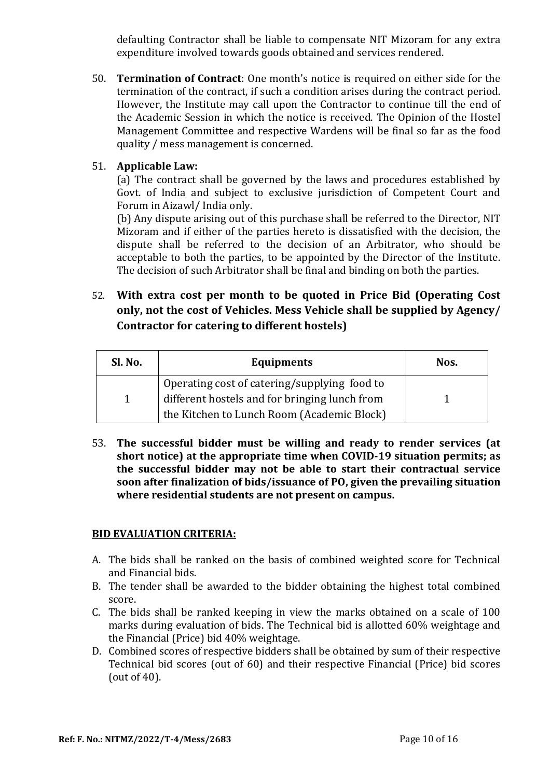defaulting Contractor shall be liable to compensate NIT Mizoram for any extra expenditure involved towards goods obtained and services rendered.

50. **Termination of Contract**: One month's notice is required on either side for the termination of the contract, if such a condition arises during the contract period. However, the Institute may call upon the Contractor to continue till the end of the Academic Session in which the notice is received. The Opinion of the Hostel Management Committee and respective Wardens will be final so far as the food quality / mess management is concerned.

### 51. **Applicable Law:**

(a) The contract shall be governed by the laws and procedures established by Govt. of India and subject to exclusive jurisdiction of Competent Court and Forum in Aizawl/ India only.

(b) Any dispute arising out of this purchase shall be referred to the Director, NIT Mizoram and if either of the parties hereto is dissatisfied with the decision, the dispute shall be referred to the decision of an Arbitrator, who should be acceptable to both the parties, to be appointed by the Director of the Institute. The decision of such Arbitrator shall be final and binding on both the parties.

52. **With extra cost per month to be quoted in Price Bid (Operating Cost only, not the cost of Vehicles. Mess Vehicle shall be supplied by Agency/ Contractor for catering to different hostels)**

| Sl. No. | <b>Equipments</b>                                                                             | Nos. |
|---------|-----------------------------------------------------------------------------------------------|------|
|         | Operating cost of catering/supplying food to<br>different hostels and for bringing lunch from |      |
|         | the Kitchen to Lunch Room (Academic Block)                                                    |      |

53. **The successful bidder must be willing and ready to render services (at short notice) at the appropriate time when COVID-19 situation permits; as the successful bidder may not be able to start their contractual service soon after finalization of bids/issuance of PO, given the prevailing situation where residential students are not present on campus.**

#### **BID EVALUATION CRITERIA:**

- A. The bids shall be ranked on the basis of combined weighted score for Technical and Financial bids.
- B. The tender shall be awarded to the bidder obtaining the highest total combined score.
- C. The bids shall be ranked keeping in view the marks obtained on a scale of 100 marks during evaluation of bids. The Technical bid is allotted 60% weightage and the Financial (Price) bid 40% weightage.
- D. Combined scores of respective bidders shall be obtained by sum of their respective Technical bid scores (out of 60) and their respective Financial (Price) bid scores (out of 40).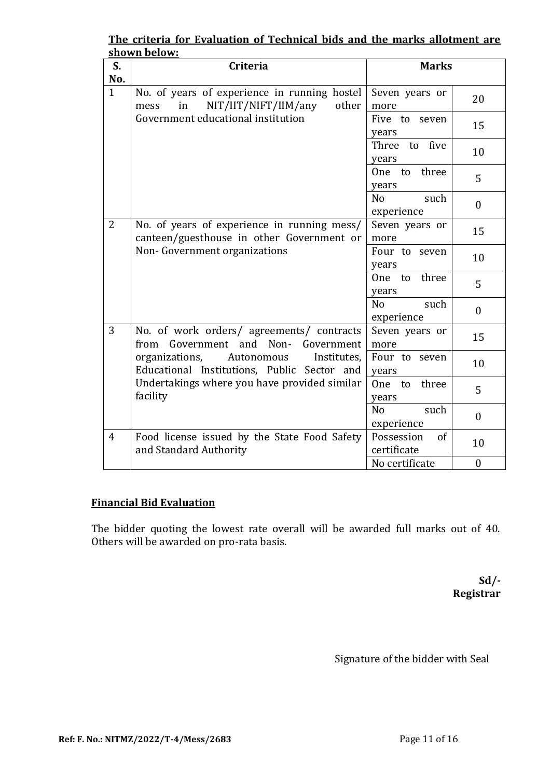|                | <u>shown below:</u>                                                                         |                                                          |
|----------------|---------------------------------------------------------------------------------------------|----------------------------------------------------------|
| S.             | Criteria                                                                                    | <b>Marks</b>                                             |
| No.            |                                                                                             |                                                          |
| $\mathbf{1}$   | No. of years of experience in running hostel<br>NIT/IIT/NIFT/IIM/any<br>other<br>in<br>mess | Seven years or<br>20<br>more                             |
|                | Government educational institution                                                          | Five to seven<br>15<br>years                             |
|                |                                                                                             | to five<br>Three<br>10<br>years                          |
|                |                                                                                             | three<br>One to<br>5<br>years                            |
|                |                                                                                             | N <sub>o</sub><br>such<br>$\mathbf{0}$<br>experience     |
| $\overline{2}$ | No. of years of experience in running mess/<br>canteen/guesthouse in other Government or    | Seven years or<br>15<br>more                             |
|                | Non-Government organizations                                                                | Four to seven<br>10<br>years                             |
|                |                                                                                             | three<br>One to<br>5<br>years                            |
|                |                                                                                             | N <sub>o</sub><br>such<br>$\boldsymbol{0}$<br>experience |
| 3              | No. of work orders/ agreements/ contracts<br>from<br>Government and Non-<br>Government      | Seven years or<br>15<br>more                             |
|                | organizations,<br>Autonomous<br>Institutes,<br>Educational Institutions, Public Sector and  | Four to seven<br>10<br>years                             |
|                | Undertakings where you have provided similar<br>facility                                    | three<br>One to<br>5<br>years                            |
|                |                                                                                             | No<br>such<br>$\mathbf{0}$<br>experience                 |
| $\overline{4}$ | Food license issued by the State Food Safety<br>and Standard Authority                      | Possession<br>of<br>10<br>certificate                    |
|                |                                                                                             | No certificate<br>$\boldsymbol{0}$                       |

## **The criteria for Evaluation of Technical bids and the marks allotment are shown below:**

## **Financial Bid Evaluation**

The bidder quoting the lowest rate overall will be awarded full marks out of 40. Others will be awarded on pro-rata basis.

> **Sd/- Registrar**

Signature of the bidder with Seal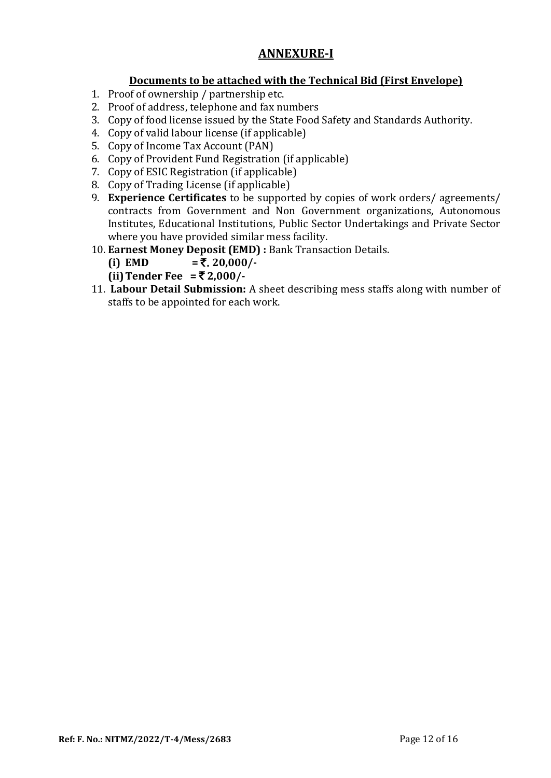# **ANNEXURE-I**

# **Documents to be attached with the Technical Bid (First Envelope)**

- 1. Proof of ownership / partnership etc.
- 2. Proof of address, telephone and fax numbers
- 3. Copy of food license issued by the State Food Safety and Standards Authority.
- 4. Copy of valid labour license (if applicable)
- 5. Copy of Income Tax Account (PAN)
- 6. Copy of Provident Fund Registration (if applicable)
- 7. Copy of ESIC Registration (if applicable)
- 8. Copy of Trading License (if applicable)
- 9. **Experience Certificates** to be supported by copies of work orders/ agreements/ contracts from Government and Non Government organizations, Autonomous Institutes, Educational Institutions, Public Sector Undertakings and Private Sector where you have provided similar mess facility.
- 10. **Earnest Money Deposit (EMD) :** Bank Transaction Details.
	- **(i) EMD**  $=$   $\overline{z}$ , 20,000/-
	- **(ii) Tender Fee =**  $\bar{\tau}$  **2,000/-**
- 11. **Labour Detail Submission:** A sheet describing mess staffs along with number of staffs to be appointed for each work.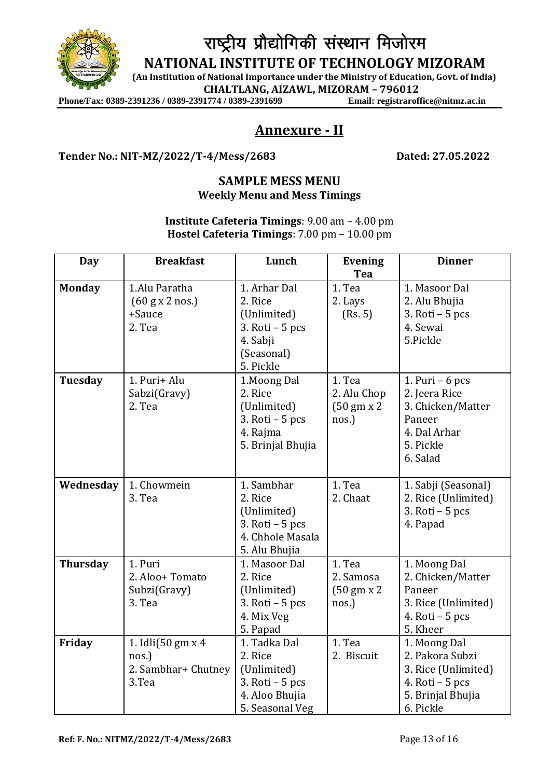

# राष्ट्रीय प्रौद्योगिकी संस्थान मिजोरम

**NATIONAL INSTITUTE OF TECHNOLOGY MIZORAM**

**(An Institution of National Importance under the Ministry of Education, Govt. of India)**

**CHALTLANG, AIZAWL, MIZORAM – 796012**

Phone/Fax: 0389-2391236 / 0389-2391774 / 0389-2391699

# **Annexure - II**

#### **Tender No.: NIT-MZ/2022/T-4/Mess/2683 Dated: 27.05.2022**

#### **SAMPLE MESS MENU Weekly Menu and Mess Timings**

**Institute Cafeteria Timings**: 9.00 am – 4.00 pm **Hostel Cafeteria Timings**: 7.00 pm – 10.00 pm

| Day                      | <b>Breakfast</b>                                                               | Lunch                                                                                                              | <b>Evening</b>                                        | <b>Dinner</b>                                                                                                |
|--------------------------|--------------------------------------------------------------------------------|--------------------------------------------------------------------------------------------------------------------|-------------------------------------------------------|--------------------------------------------------------------------------------------------------------------|
|                          |                                                                                |                                                                                                                    | Tea                                                   |                                                                                                              |
| <b>Monday</b><br>Tuesday | 1.Alu Paratha<br>$(60 \text{ g x 2 nos.})$<br>+Sauce<br>2. Tea<br>1. Puri+ Alu | 1. Arhar Dal<br>2. Rice<br>(Unlimited)<br>$3. Roti - 5 pcs$<br>4. Sabji<br>(Seasonal)<br>5. Pickle<br>1. Moong Dal | 1. Tea<br>2. Lays<br>(Rs. 5)<br>1. Tea                | 1. Masoor Dal<br>2. Alu Bhujia<br>$3. Roti - 5 pcs$<br>4. Sewai<br>5.Pickle<br>1. Puri $-6$ pcs              |
|                          | Sabzi(Gravy)<br>2. Tea                                                         | 2. Rice<br>(Unlimited)<br>$3. Roti - 5 pcs$<br>4. Rajma<br>5. Brinjal Bhujia                                       | 2. Alu Chop<br>$(50 \text{ gm} x 2)$<br>nos.)         | 2. Jeera Rice<br>3. Chicken/Matter<br>Paneer<br>4. Dal Arhar<br>5. Pickle<br>6. Salad                        |
| Wednesday                | 1. Chowmein<br>3. Tea                                                          | 1. Sambhar<br>2. Rice<br>(Unlimited)<br>$3. Roti - 5 pcs$<br>4. Chhole Masala<br>5. Alu Bhujia                     | 1. Tea<br>2. Chaat                                    | 1. Sabji (Seasonal)<br>2. Rice (Unlimited)<br>$3. Roti - 5 pcs$<br>4. Papad                                  |
| <b>Thursday</b>          | 1. Puri<br>2. Aloo+ Tomato<br>Subzi(Gravy)<br>3. Tea                           | 1. Masoor Dal<br>2. Rice<br>(Unlimited)<br>$3. Roti - 5 pcs$<br>4. Mix Veg<br>5. Papad                             | 1. Tea<br>2. Samosa<br>$(50 \text{ gm} x 2)$<br>nos.) | 1. Moong Dal<br>2. Chicken/Matter<br>Paneer<br>3. Rice (Unlimited)<br>4. Roti $-5$ pcs<br>5. Kheer           |
| Friday                   | 1. Idli(50 gm x 4<br>nos.)<br>2. Sambhar+ Chutney<br>3.Tea                     | 1. Tadka Dal<br>2. Rice<br>(Unlimited)<br>$3. Roti - 5 pcs$<br>4. Aloo Bhujia<br>5. Seasonal Veg                   | 1. Tea<br>2. Biscuit                                  | 1. Moong Dal<br>2. Pakora Subzi<br>3. Rice (Unlimited)<br>4. Roti $-5$ pcs<br>5. Brinjal Bhujia<br>6. Pickle |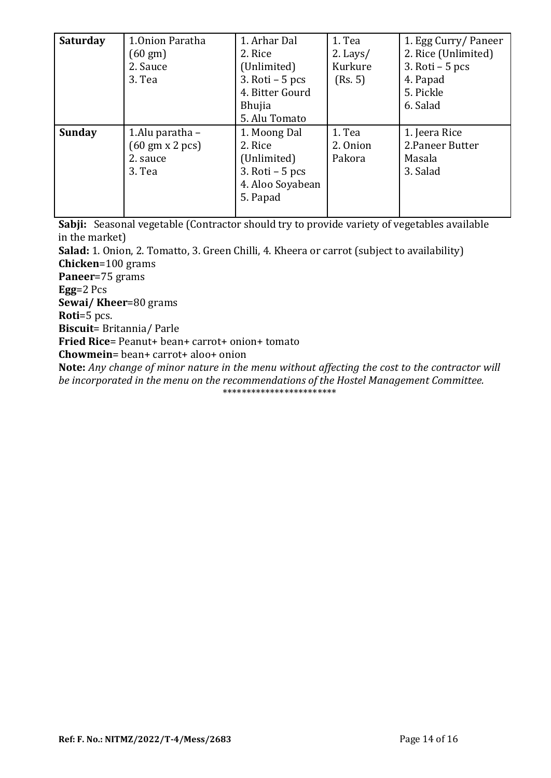| <b>Saturday</b> | 1.0nion Paratha                       | 1. Arhar Dal      | 1. Tea     | 1. Egg Curry/Paneer |
|-----------------|---------------------------------------|-------------------|------------|---------------------|
|                 | $(60 \text{ gm})$                     | 2. Rice           | $2.$ Lays/ | 2. Rice (Unlimited) |
|                 | 2. Sauce                              | (Unlimited)       | Kurkure    | 3. Roti $-5$ pcs    |
|                 | 3. Tea                                | $3. Roti - 5 pcs$ | (Rs. 5)    | 4. Papad            |
|                 |                                       | 4. Bitter Gourd   |            | 5. Pickle           |
|                 |                                       | <b>Bhujia</b>     |            | 6. Salad            |
|                 |                                       | 5. Alu Tomato     |            |                     |
| <b>Sunday</b>   | 1.Alu paratha -                       | 1. Moong Dal      | 1. Tea     | 1. Jeera Rice       |
|                 | $(60 \text{ gm} \times 2 \text{ pc})$ | 2. Rice           | 2. Onion   | 2. Paneer Butter    |
|                 | 2. sauce                              | (Unlimited)       | Pakora     | Masala              |
|                 | 3. Tea                                | $3.$ Roti – 5 pcs |            | 3. Salad            |
|                 |                                       | 4. Aloo Soyabean  |            |                     |
|                 |                                       | 5. Papad          |            |                     |
|                 |                                       |                   |            |                     |

**Sabji:** Seasonal vegetable (Contractor should try to provide variety of vegetables available in the market)

**Salad:** 1. Onion, 2. Tomatto, 3. Green Chilli, 4. Kheera or carrot (subject to availability) **Chicken**=100 grams

**Paneer**=75 grams

**Egg**=2 Pcs

**Sewai/ Kheer**=80 grams

**Roti**=5 pcs.

**Biscuit**= Britannia/ Parle

**Fried Rice**= Peanut+ bean+ carrot+ onion+ tomato

**Chowmein**= bean+ carrot+ aloo+ onion

**Note:** *Any change of minor nature in the menu without affecting the cost to the contractor will be incorporated in the menu on the recommendations of the Hostel Management Committee.* \*\*\*\*\*\*\*\*\*\*\*\*\*\*\*\*\*\*\*\*\*\*\*\*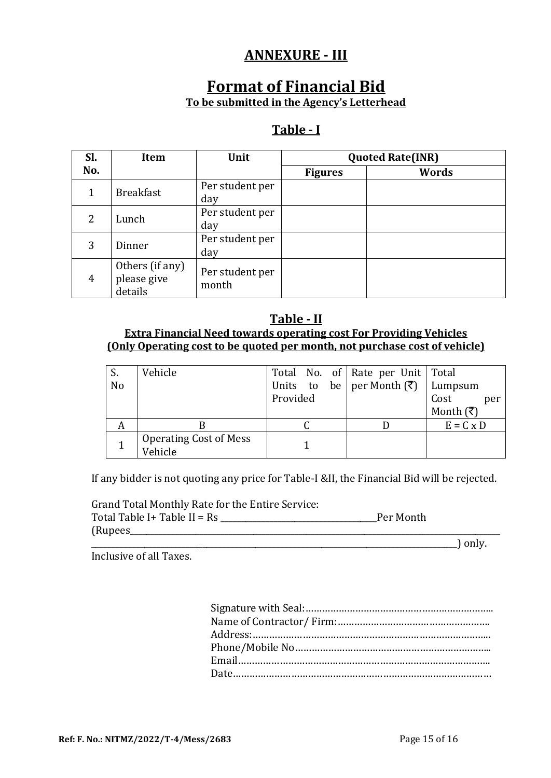# **ANNEXURE - III**

# **Format of Financial Bid To be submitted in the Agency's Letterhead**

# **Table - I**

| Sl.            | <b>Item</b>                               | Unit                     |                | <b>Quoted Rate(INR)</b> |  |  |
|----------------|-------------------------------------------|--------------------------|----------------|-------------------------|--|--|
| No.            |                                           |                          | <b>Figures</b> | Words                   |  |  |
| 1              | <b>Breakfast</b>                          | Per student per<br>day   |                |                         |  |  |
| 2              | Lunch                                     | Per student per<br>day   |                |                         |  |  |
| 3              | Dinner                                    | Per student per<br>day   |                |                         |  |  |
| $\overline{4}$ | Others (if any)<br>please give<br>details | Per student per<br>month |                |                         |  |  |

### **Table - II Extra Financial Need towards operating cost For Providing Vehicles (Only Operating cost to be quoted per month, not purchase cost of vehicle)**

|                | Vehicle                                  |                                       | Total No. of Rate per Unit   Total |                                 |
|----------------|------------------------------------------|---------------------------------------|------------------------------------|---------------------------------|
| N <sub>o</sub> |                                          | Units to be per Month $(\bar{\zeta})$ |                                    | Lumpsum                         |
|                |                                          | Provided                              |                                    | Cost<br>per                     |
|                |                                          |                                       |                                    | Month $(\overline{\mathbf{z}})$ |
|                |                                          |                                       |                                    | $E = C \times D$                |
|                | <b>Operating Cost of Mess</b><br>Vehicle |                                       |                                    |                                 |

If any bidder is not quoting any price for Table-I &II, the Financial Bid will be rejected.

Grand Total Monthly Rate for the Entire Service: Total Table I+ Table II = Rs \_\_\_\_\_\_\_\_\_\_\_\_\_\_\_\_\_\_\_\_\_\_\_\_\_\_\_\_\_\_\_\_\_\_\_\_\_\_Per Month (Rupees\_\_\_\_\_\_\_\_\_\_\_\_\_\_\_\_\_\_\_\_\_\_\_\_\_\_\_\_\_\_\_\_\_\_\_\_\_\_\_\_\_\_\_\_\_\_\_\_\_\_\_\_\_\_\_\_\_\_\_\_\_\_\_\_\_\_\_\_\_\_\_\_\_\_\_\_\_\_\_\_\_\_\_\_\_\_\_\_\_\_

\_\_\_\_\_\_\_\_\_\_\_\_\_\_\_\_\_\_\_\_\_\_\_\_\_\_\_\_\_\_\_\_\_\_\_\_\_\_\_\_\_\_\_\_\_\_\_\_\_\_\_\_\_\_\_\_\_\_\_\_\_\_\_\_\_\_\_\_\_\_\_\_\_\_\_\_\_\_\_\_\_\_\_\_\_\_\_\_\_) only.

Inclusive of all Taxes.